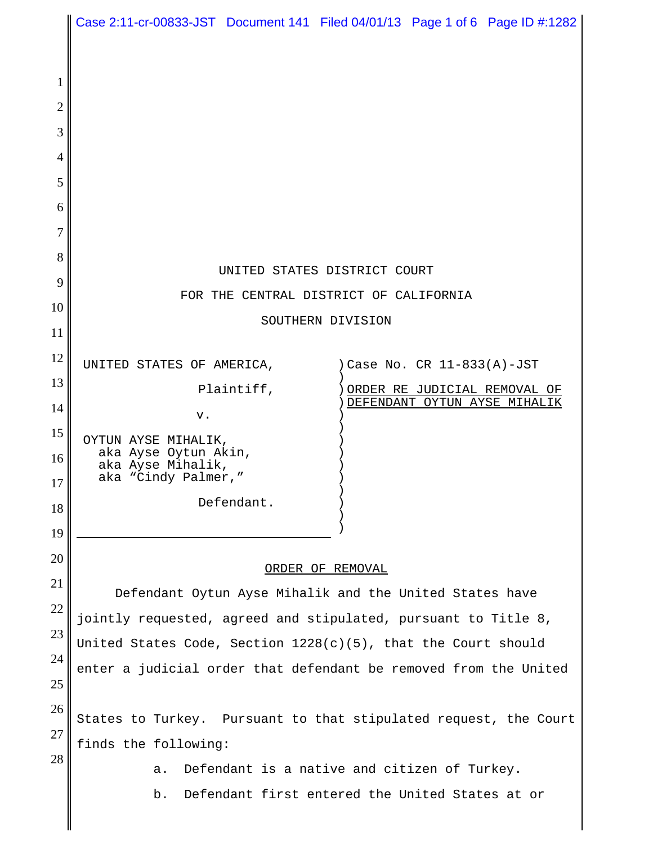|                     | Case 2:11-cr-00833-JST Document 141 Filed 04/01/13 Page 1 of 6 Page ID #:1282 |
|---------------------|-------------------------------------------------------------------------------|
|                     |                                                                               |
| 1                   |                                                                               |
| $\overline{2}$      |                                                                               |
| 3<br>$\overline{4}$ |                                                                               |
| 5                   |                                                                               |
| 6                   |                                                                               |
| 7                   |                                                                               |
| 8                   | UNITED STATES DISTRICT COURT                                                  |
| 9                   | FOR THE CENTRAL DISTRICT OF CALIFORNIA                                        |
| 10                  | SOUTHERN DIVISION                                                             |
| 11                  |                                                                               |
| 12<br>13            | ) Case No. CR 11-833(A)-JST<br>UNITED STATES OF AMERICA,                      |
| 14                  | Plaintiff,<br>ORDER RE JUDICIAL REMOVAL OF<br>DEFENDANT OYTUN AYSE MIHALIK    |
| 15                  | v.<br>OYTUN AYSE MIHALIK,                                                     |
| 16                  | aka Ayse Oytun Akin,<br>aka Ayse Mihalik,                                     |
| 17                  | aka "Cindy Palmer,"                                                           |
| 18                  | Defendant.                                                                    |
| 19                  |                                                                               |
| 20                  | ORDER OF REMOVAL                                                              |
| 21<br>22            | Defendant Oytun Ayse Mihalik and the United States have                       |
| 23                  | jointly requested, agreed and stipulated, pursuant to Title 8,                |
| 24                  | United States Code, Section 1228(c)(5), that the Court should                 |
| 25                  | enter a judicial order that defendant be removed from the United              |
| 26                  | States to Turkey. Pursuant to that stipulated request, the Court              |
| 27                  | finds the following:                                                          |
| 28                  | Defendant is a native and citizen of Turkey.<br>a.                            |
|                     | Defendant first entered the United States at or<br>b.                         |
|                     |                                                                               |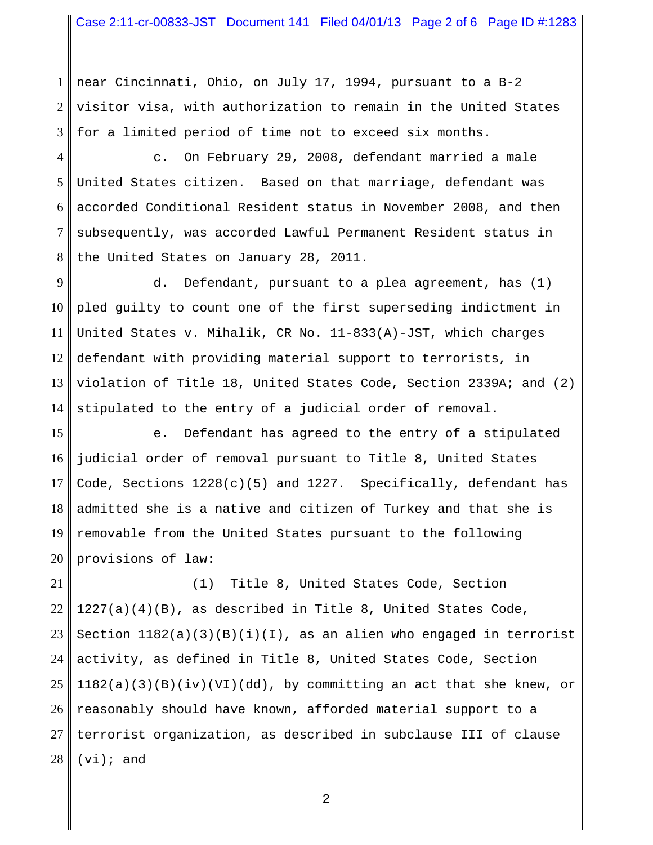1 2 3 near Cincinnati, Ohio, on July 17, 1994, pursuant to a B-2 visitor visa, with authorization to remain in the United States for a limited period of time not to exceed six months.

4 5 6 7 8 c. On February 29, 2008, defendant married a male United States citizen. Based on that marriage, defendant was accorded Conditional Resident status in November 2008, and then subsequently, was accorded Lawful Permanent Resident status in the United States on January 28, 2011.

9 10 11 12 13 14 d. Defendant, pursuant to a plea agreement, has (1) pled guilty to count one of the first superseding indictment in United States v. Mihalik, CR No. 11-833(A)-JST, which charges defendant with providing material support to terrorists, in violation of Title 18, United States Code, Section 2339A; and (2) stipulated to the entry of a judicial order of removal.

15 16 17 18 19 20 e. Defendant has agreed to the entry of a stipulated judicial order of removal pursuant to Title 8, United States Code, Sections  $1228(c)(5)$  and  $1227$ . Specifically, defendant has admitted she is a native and citizen of Turkey and that she is removable from the United States pursuant to the following provisions of law:

21 22 23 24 25 26 27 28 (1) Title 8, United States Code, Section 1227(a)(4)(B), as described in Title 8, United States Code, Section  $1182(a)(3)(B)(i)(I)$ , as an alien who engaged in terrorist activity, as defined in Title 8, United States Code, Section  $1182(a)(3)(B)(iv)(VI)(dd)$ , by committing an act that she knew, or reasonably should have known, afforded material support to a terrorist organization, as described in subclause III of clause  $(vi);$  and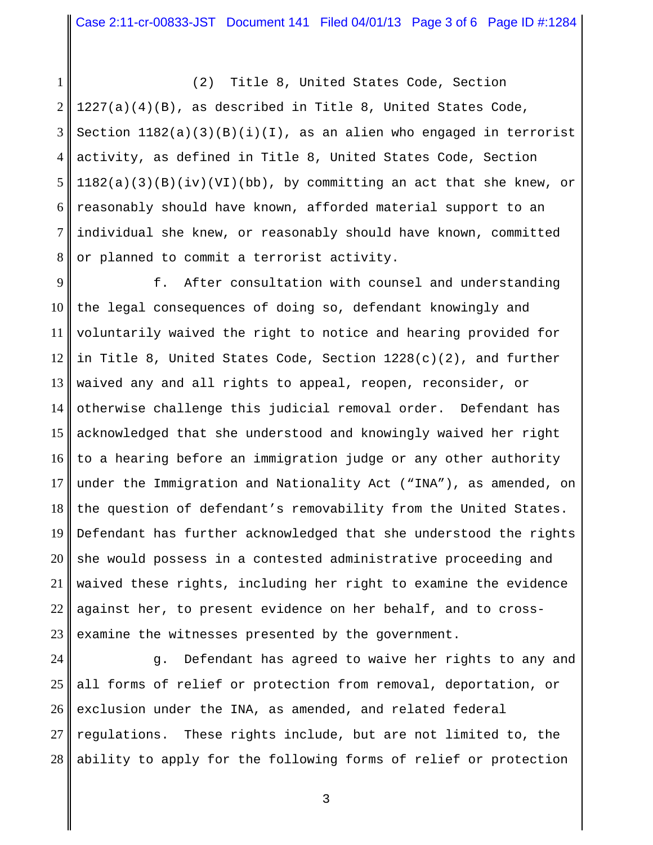1 2 3 4 5 6 7 8 (2) Title 8, United States Code, Section 1227(a)(4)(B), as described in Title 8, United States Code, Section  $1182(a)(3)(B)(i)(I)$ , as an alien who engaged in terrorist activity, as defined in Title 8, United States Code, Section  $1182(a)(3)(B)(iv)(VL)(bb)$ , by committing an act that she knew, or reasonably should have known, afforded material support to an individual she knew, or reasonably should have known, committed or planned to commit a terrorist activity.

9 10 11 12 13 14 15 16 17 18 19 20 21 22 23 f. After consultation with counsel and understanding the legal consequences of doing so, defendant knowingly and voluntarily waived the right to notice and hearing provided for in Title 8, United States Code, Section  $1228(c)(2)$ , and further waived any and all rights to appeal, reopen, reconsider, or otherwise challenge this judicial removal order. Defendant has acknowledged that she understood and knowingly waived her right to a hearing before an immigration judge or any other authority under the Immigration and Nationality Act ("INA"), as amended, on the question of defendant's removability from the United States. Defendant has further acknowledged that she understood the rights she would possess in a contested administrative proceeding and waived these rights, including her right to examine the evidence against her, to present evidence on her behalf, and to crossexamine the witnesses presented by the government.

24 25 26 27 28 g. Defendant has agreed to waive her rights to any and all forms of relief or protection from removal, deportation, or exclusion under the INA, as amended, and related federal regulations. These rights include, but are not limited to, the ability to apply for the following forms of relief or protection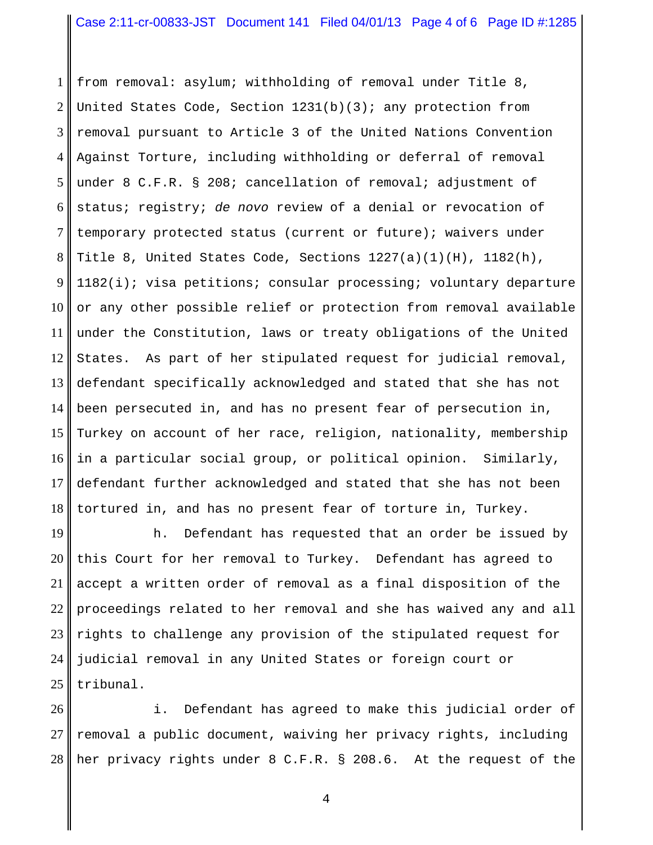1 2 3 4 5 6 7 8 9 10 11 12 13 14 15 16 17 18 from removal: asylum; withholding of removal under Title 8, United States Code, Section 1231(b)(3); any protection from removal pursuant to Article 3 of the United Nations Convention Against Torture, including withholding or deferral of removal under 8 C.F.R. § 208; cancellation of removal; adjustment of status; registry; *de novo* review of a denial or revocation of temporary protected status (current or future); waivers under Title 8, United States Code, Sections 1227(a)(1)(H), 1182(h), 1182(i); visa petitions; consular processing; voluntary departure or any other possible relief or protection from removal available under the Constitution, laws or treaty obligations of the United States. As part of her stipulated request for judicial removal, defendant specifically acknowledged and stated that she has not been persecuted in, and has no present fear of persecution in, Turkey on account of her race, religion, nationality, membership in a particular social group, or political opinion. Similarly, defendant further acknowledged and stated that she has not been tortured in, and has no present fear of torture in, Turkey.

19 20 21 22 23 24 25 h. Defendant has requested that an order be issued by this Court for her removal to Turkey. Defendant has agreed to accept a written order of removal as a final disposition of the proceedings related to her removal and she has waived any and all rights to challenge any provision of the stipulated request for judicial removal in any United States or foreign court or tribunal.

26 27 28 i. Defendant has agreed to make this judicial order of removal a public document, waiving her privacy rights, including her privacy rights under 8 C.F.R. § 208.6. At the request of the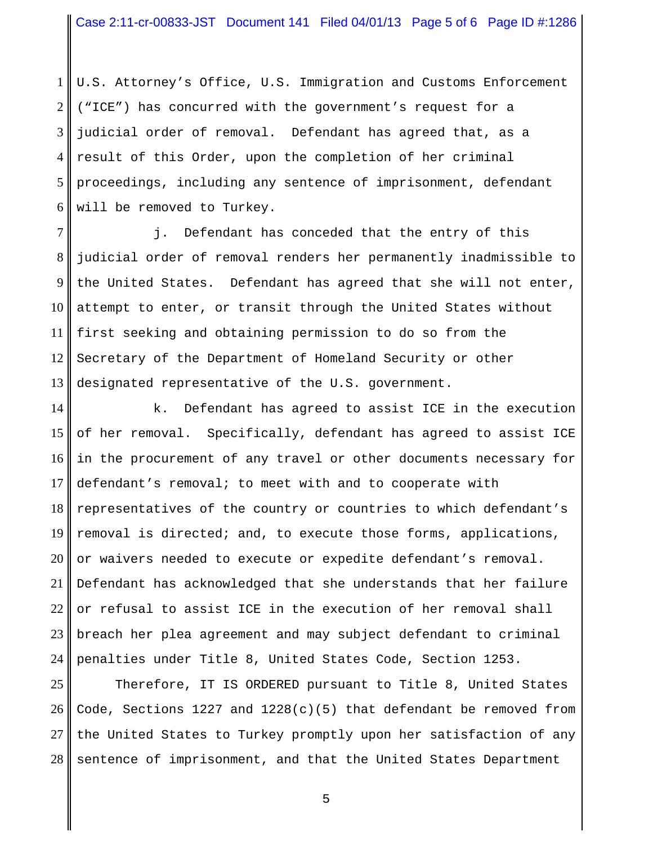1 2 3 4 5 6 U.S. Attorney's Office, U.S. Immigration and Customs Enforcement ("ICE") has concurred with the government's request for a judicial order of removal. Defendant has agreed that, as a result of this Order, upon the completion of her criminal proceedings, including any sentence of imprisonment, defendant will be removed to Turkey.

7 8 9 10 11 12 13 j. Defendant has conceded that the entry of this judicial order of removal renders her permanently inadmissible to the United States. Defendant has agreed that she will not enter, attempt to enter, or transit through the United States without first seeking and obtaining permission to do so from the Secretary of the Department of Homeland Security or other designated representative of the U.S. government.

14 15 16 17 18 19 20 21 22 23 24 k. Defendant has agreed to assist ICE in the execution of her removal. Specifically, defendant has agreed to assist ICE in the procurement of any travel or other documents necessary for defendant's removal; to meet with and to cooperate with representatives of the country or countries to which defendant's removal is directed; and, to execute those forms, applications, or waivers needed to execute or expedite defendant's removal. Defendant has acknowledged that she understands that her failure or refusal to assist ICE in the execution of her removal shall breach her plea agreement and may subject defendant to criminal penalties under Title 8, United States Code, Section 1253.

25 26 27 28 Therefore, IT IS ORDERED pursuant to Title 8, United States Code, Sections 1227 and 1228(c)(5) that defendant be removed from the United States to Turkey promptly upon her satisfaction of any sentence of imprisonment, and that the United States Department